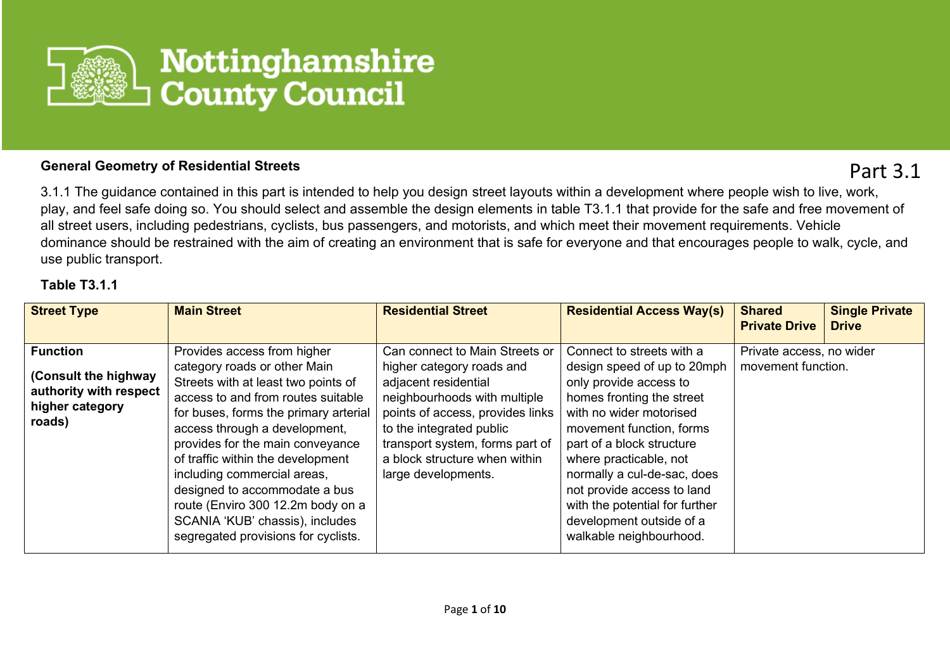

## **General Geometry of Residential Streets**

Part 3.1

3.1.1 The guidance contained in this part is intended to help you design street layouts within a development where people wish to live, work, play, and feel safe doing so. You should select and assemble the design elements in table T3.1.1 that provide for the safe and free movement of all street users, including pedestrians, cyclists, bus passengers, and motorists, and which meet their movement requirements. Vehicle dominance should be restrained with the aim of creating an environment that is safe for everyone and that encourages people to walk, cycle, and use public transport.

## **Table T3.1.1**

| <b>Street Type</b>                                                                             | <b>Main Street</b>                                                                                                                                                                                                                                                                                                                                                                                                                                                         | <b>Residential Street</b>                                                                                                                                                                                                                                                      | <b>Residential Access Way(s)</b>                                                                                                                                                                                                                                                                                                                                                    | <b>Shared</b><br><b>Private Drive</b>          | <b>Single Private</b><br><b>Drive</b> |
|------------------------------------------------------------------------------------------------|----------------------------------------------------------------------------------------------------------------------------------------------------------------------------------------------------------------------------------------------------------------------------------------------------------------------------------------------------------------------------------------------------------------------------------------------------------------------------|--------------------------------------------------------------------------------------------------------------------------------------------------------------------------------------------------------------------------------------------------------------------------------|-------------------------------------------------------------------------------------------------------------------------------------------------------------------------------------------------------------------------------------------------------------------------------------------------------------------------------------------------------------------------------------|------------------------------------------------|---------------------------------------|
| <b>Function</b><br>(Consult the highway<br>authority with respect<br>higher category<br>roads) | Provides access from higher<br>category roads or other Main<br>Streets with at least two points of<br>access to and from routes suitable<br>for buses, forms the primary arterial<br>access through a development,<br>provides for the main conveyance<br>of traffic within the development<br>including commercial areas,<br>designed to accommodate a bus<br>route (Enviro 300 12.2m body on a<br>SCANIA 'KUB' chassis), includes<br>segregated provisions for cyclists. | Can connect to Main Streets or<br>higher category roads and<br>adjacent residential<br>neighbourhoods with multiple<br>points of access, provides links<br>to the integrated public<br>transport system, forms part of<br>a block structure when within<br>large developments. | Connect to streets with a<br>design speed of up to 20mph<br>only provide access to<br>homes fronting the street<br>with no wider motorised<br>movement function, forms<br>part of a block structure<br>where practicable, not<br>normally a cul-de-sac, does<br>not provide access to land<br>with the potential for further<br>development outside of a<br>walkable neighbourhood. | Private access, no wider<br>movement function. |                                       |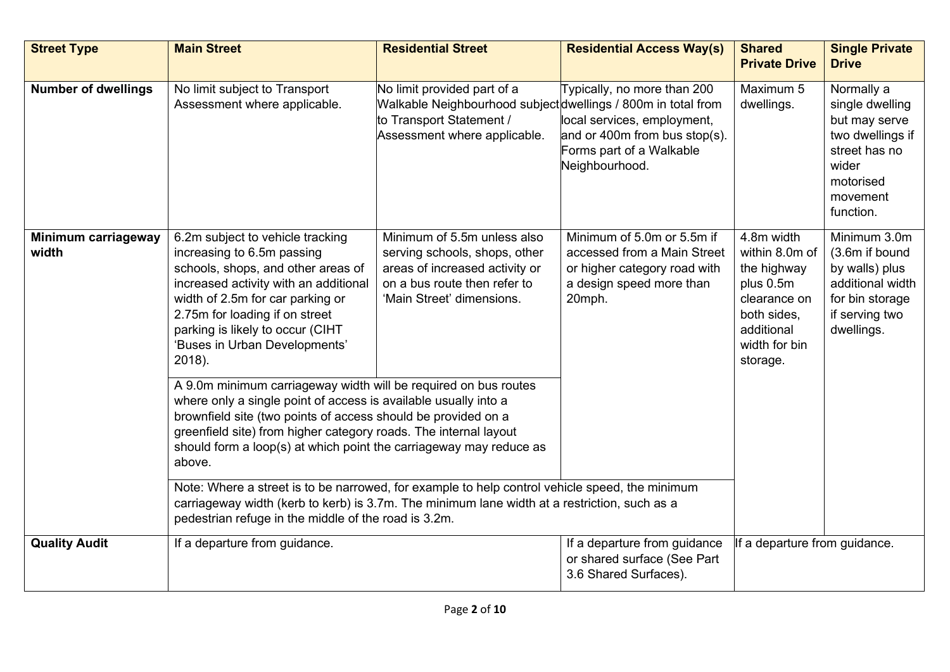| <b>Street Type</b>           | <b>Main Street</b>                                                                                                                                                                                                                                                                                                                                      | <b>Residential Street</b>                                                                                                                                   | <b>Residential Access Way(s)</b>                                                                                                             | <b>Shared</b><br><b>Private Drive</b>                                                                                              | <b>Single Private</b><br><b>Drive</b>                                                                                              |
|------------------------------|---------------------------------------------------------------------------------------------------------------------------------------------------------------------------------------------------------------------------------------------------------------------------------------------------------------------------------------------------------|-------------------------------------------------------------------------------------------------------------------------------------------------------------|----------------------------------------------------------------------------------------------------------------------------------------------|------------------------------------------------------------------------------------------------------------------------------------|------------------------------------------------------------------------------------------------------------------------------------|
| <b>Number of dwellings</b>   | No limit subject to Transport<br>Assessment where applicable.                                                                                                                                                                                                                                                                                           | No limit provided part of a<br>Walkable Neighbourhood subject dwellings / 800m in total from<br>to Transport Statement /<br>Assessment where applicable.    | Typically, no more than 200<br>local services, employment,<br>and or 400 $m$ from bus stop(s).<br>Forms part of a Walkable<br>Neighbourhood. | Maximum 5<br>dwellings.                                                                                                            | Normally a<br>single dwelling<br>but may serve<br>two dwellings if<br>street has no<br>wider<br>motorised<br>movement<br>function. |
| Minimum carriageway<br>width | 6.2m subject to vehicle tracking<br>increasing to 6.5m passing<br>schools, shops, and other areas of<br>increased activity with an additional<br>width of 2.5m for car parking or<br>2.75m for loading if on street<br>parking is likely to occur (CIHT<br>'Buses in Urban Developments'<br>2018).                                                      | Minimum of 5.5m unless also<br>serving schools, shops, other<br>areas of increased activity or<br>on a bus route then refer to<br>'Main Street' dimensions. | Minimum of 5.0m or 5.5m if<br>accessed from a Main Street<br>or higher category road with<br>a design speed more than<br>20mph.              | 4.8m width<br>within 8.0m of<br>the highway<br>plus 0.5m<br>clearance on<br>both sides,<br>additional<br>width for bin<br>storage. | Minimum 3.0m<br>(3.6m if bound<br>by walls) plus<br>additional width<br>for bin storage<br>if serving two<br>dwellings.            |
|                              | A 9.0m minimum carriageway width will be required on bus routes<br>where only a single point of access is available usually into a<br>brownfield site (two points of access should be provided on a<br>greenfield site) from higher category roads. The internal layout<br>should form a loop(s) at which point the carriageway may reduce as<br>above. |                                                                                                                                                             |                                                                                                                                              |                                                                                                                                    |                                                                                                                                    |
|                              | Note: Where a street is to be narrowed, for example to help control vehicle speed, the minimum<br>carriageway width (kerb to kerb) is 3.7m. The minimum lane width at a restriction, such as a<br>pedestrian refuge in the middle of the road is 3.2m.                                                                                                  |                                                                                                                                                             |                                                                                                                                              |                                                                                                                                    |                                                                                                                                    |
| <b>Quality Audit</b>         | If a departure from guidance.                                                                                                                                                                                                                                                                                                                           |                                                                                                                                                             | If a departure from guidance<br>or shared surface (See Part<br>3.6 Shared Surfaces).                                                         | If a departure from guidance.                                                                                                      |                                                                                                                                    |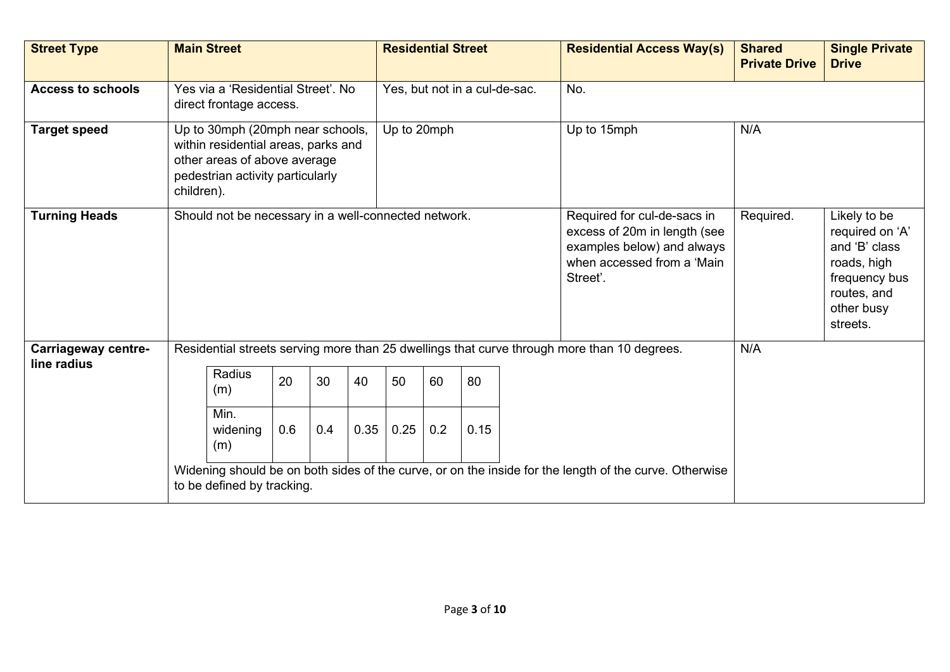| <b>Street Type</b>                        | <b>Main Street</b>                                                                                                                                        |                         |     |     | <b>Residential Street</b> |                                                                                                                                     |           |                                                                                                                           | <b>Residential Access Way(s)</b> | <b>Shared</b><br><b>Private Drive</b>                                                       | <b>Single Private</b><br><b>Drive</b> |  |
|-------------------------------------------|-----------------------------------------------------------------------------------------------------------------------------------------------------------|-------------------------|-----|-----|---------------------------|-------------------------------------------------------------------------------------------------------------------------------------|-----------|---------------------------------------------------------------------------------------------------------------------------|----------------------------------|---------------------------------------------------------------------------------------------|---------------------------------------|--|
| <b>Access to schools</b>                  | Yes via a 'Residential Street', No<br>direct frontage access.                                                                                             |                         |     |     |                           | Yes, but not in a cul-de-sac.                                                                                                       |           |                                                                                                                           | No.                              |                                                                                             |                                       |  |
| <b>Target speed</b>                       | Up to 30mph (20mph near schools,<br>within residential areas, parks and<br>other areas of above average<br>pedestrian activity particularly<br>children). |                         |     |     |                           | Up to 20mph                                                                                                                         |           |                                                                                                                           |                                  | Up to 15mph                                                                                 | N/A                                   |  |
| <b>Turning Heads</b>                      | Should not be necessary in a well-connected network.                                                                                                      |                         |     |     |                           | Required for cul-de-sacs in<br>excess of 20m in length (see<br>examples below) and always<br>when accessed from a 'Main<br>Street'. | Required. | Likely to be<br>required on 'A'<br>and 'B' class<br>roads, high<br>frequency bus<br>routes, and<br>other busy<br>streets. |                                  |                                                                                             |                                       |  |
| <b>Carriageway centre-</b><br>line radius |                                                                                                                                                           |                         |     |     |                           |                                                                                                                                     |           |                                                                                                                           |                                  | Residential streets serving more than 25 dwellings that curve through more than 10 degrees. | N/A                                   |  |
|                                           |                                                                                                                                                           | Radius<br>(m)           | 20  | 30  | 40                        | 50                                                                                                                                  | 60        | 80                                                                                                                        |                                  |                                                                                             |                                       |  |
|                                           |                                                                                                                                                           | Min.<br>widening<br>(m) | 0.6 | 0.4 | 0.35                      | 0.25                                                                                                                                | 0.2       | 0.15                                                                                                                      |                                  |                                                                                             |                                       |  |
|                                           | Widening should be on both sides of the curve, or on the inside for the length of the curve. Otherwise<br>to be defined by tracking.                      |                         |     |     |                           |                                                                                                                                     |           |                                                                                                                           |                                  |                                                                                             |                                       |  |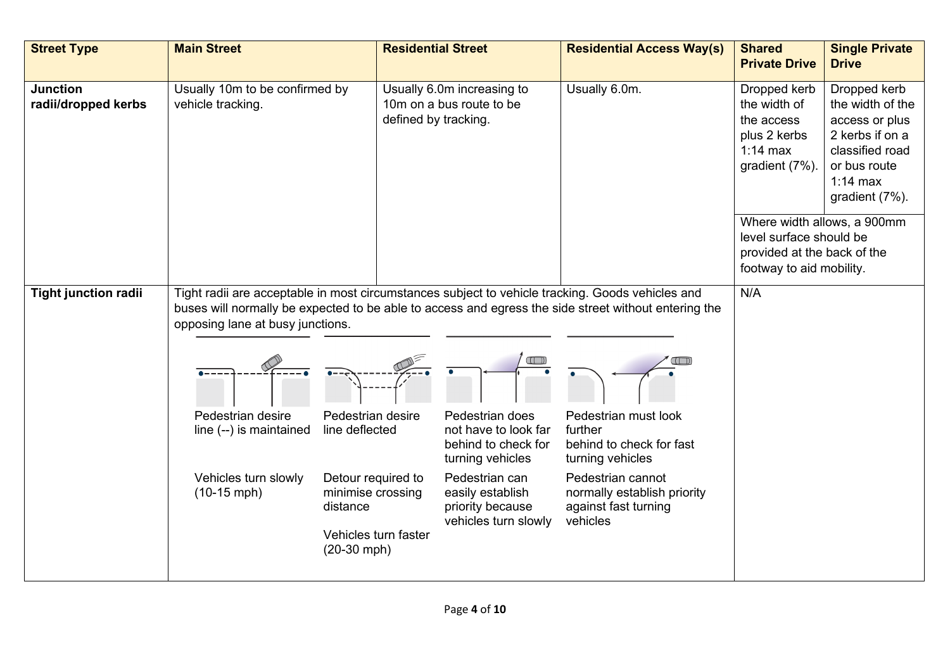| <b>Street Type</b>                     | <b>Main Street</b>                                                                                                                                                                                                                                                                                                                    | <b>Residential Street</b>                                                                                                           |                                                                                                                                                                      | <b>Residential Access Way(s)</b>                                                                                                                                        | <b>Shared</b><br><b>Private Drive</b>                                                                             | <b>Single Private</b><br><b>Drive</b>                                                                                                    |
|----------------------------------------|---------------------------------------------------------------------------------------------------------------------------------------------------------------------------------------------------------------------------------------------------------------------------------------------------------------------------------------|-------------------------------------------------------------------------------------------------------------------------------------|----------------------------------------------------------------------------------------------------------------------------------------------------------------------|-------------------------------------------------------------------------------------------------------------------------------------------------------------------------|-------------------------------------------------------------------------------------------------------------------|------------------------------------------------------------------------------------------------------------------------------------------|
| <b>Junction</b><br>radii/dropped kerbs | Usually 10m to be confirmed by<br>vehicle tracking.                                                                                                                                                                                                                                                                                   | defined by tracking.                                                                                                                | Usually 6.0m increasing to<br>10m on a bus route to be                                                                                                               | Usually 6.0m.                                                                                                                                                           | Dropped kerb<br>the width of<br>the access<br>plus 2 kerbs<br>$1:14$ max<br>gradient (7%).                        | Dropped kerb<br>the width of the<br>access or plus<br>2 kerbs if on a<br>classified road<br>or bus route<br>$1:14$ max<br>gradient (7%). |
|                                        |                                                                                                                                                                                                                                                                                                                                       |                                                                                                                                     |                                                                                                                                                                      |                                                                                                                                                                         | Where width allows, a 900mm<br>level surface should be<br>provided at the back of the<br>footway to aid mobility. |                                                                                                                                          |
| <b>Tight junction radii</b>            | Tight radii are acceptable in most circumstances subject to vehicle tracking. Goods vehicles and<br>buses will normally be expected to be able to access and egress the side street without entering the<br>opposing lane at busy junctions.<br>Pedestrian desire<br>line (--) is maintained<br>Vehicles turn slowly<br>$(10-15$ mph) | Pedestrian desire<br>line deflected<br>Detour required to<br>minimise crossing<br>distance<br>Vehicles turn faster<br>$(20-30$ mph) | Pedestrian does<br>not have to look far<br>behind to check for<br>turning vehicles<br>Pedestrian can<br>easily establish<br>priority because<br>vehicles turn slowly | Pedestrian must look<br>further<br>behind to check for fast<br>turning vehicles<br>Pedestrian cannot<br>normally establish priority<br>against fast turning<br>vehicles | N/A                                                                                                               |                                                                                                                                          |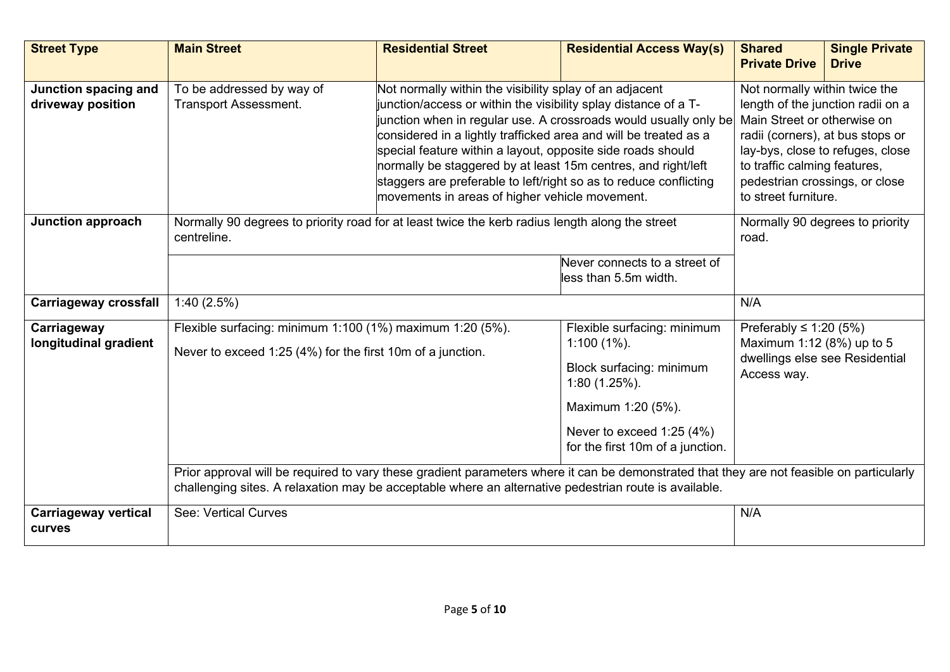| <b>Street Type</b>                           | <b>Main Street</b>                                                                                                                                                                                                                                                   | <b>Residential Street</b>                                                                                                                                                                                                                                                                                                                                                                                                                                                                                                | <b>Residential Access Way(s)</b>                                                                                                                                                           | <b>Shared</b><br><b>Private Drive</b>                                                                     | <b>Single Private</b><br><b>Drive</b> |
|----------------------------------------------|----------------------------------------------------------------------------------------------------------------------------------------------------------------------------------------------------------------------------------------------------------------------|--------------------------------------------------------------------------------------------------------------------------------------------------------------------------------------------------------------------------------------------------------------------------------------------------------------------------------------------------------------------------------------------------------------------------------------------------------------------------------------------------------------------------|--------------------------------------------------------------------------------------------------------------------------------------------------------------------------------------------|-----------------------------------------------------------------------------------------------------------|---------------------------------------|
| Junction spacing and<br>driveway position    | To be addressed by way of<br><b>Transport Assessment.</b>                                                                                                                                                                                                            | Not normally within the visibility splay of an adjacent<br>unction/access or within the visibility splay distance of a T-<br>junction when in regular use. A crossroads would usually only be<br>considered in a lightly trafficked area and will be treated as a<br>special feature within a layout, opposite side roads should<br>normally be staggered by at least 15m centres, and right/left<br>staggers are preferable to left/right so as to reduce conflicting<br>movements in areas of higher vehicle movement. | Not normally within twice the<br>Main Street or otherwise on<br>radii (corners), at bus stops or<br>to traffic calming features,<br>pedestrian crossings, or close<br>to street furniture. | length of the junction radii on a<br>lay-bys, close to refuges, close                                     |                                       |
| <b>Junction approach</b>                     | Normally 90 degrees to priority road for at least twice the kerb radius length along the street<br>centreline.                                                                                                                                                       |                                                                                                                                                                                                                                                                                                                                                                                                                                                                                                                          | Never connects to a street of<br>less than 5.5m width.                                                                                                                                     | road.                                                                                                     | Normally 90 degrees to priority       |
| <b>Carriageway crossfall</b>                 | 1:40(2.5%)                                                                                                                                                                                                                                                           | N/A                                                                                                                                                                                                                                                                                                                                                                                                                                                                                                                      |                                                                                                                                                                                            |                                                                                                           |                                       |
| Carriageway<br>longitudinal gradient         | Flexible surfacing: minimum 1:100 (1%) maximum 1:20 (5%).<br>Never to exceed 1:25 (4%) for the first 10m of a junction.<br>Prior approval will be required to vary these gradient parameters where it can be demonstrated that they are not feasible on particularly |                                                                                                                                                                                                                                                                                                                                                                                                                                                                                                                          | Flexible surfacing: minimum<br>$1:100(1\%)$ .<br>Block surfacing: minimum<br>1:80 (1.25%).<br>Maximum 1:20 (5%).<br>Never to exceed 1:25 (4%)<br>for the first 10m of a junction.          | Preferably $\leq$ 1:20 (5%)<br>Maximum 1:12 (8%) up to 5<br>dwellings else see Residential<br>Access way. |                                       |
|                                              | challenging sites. A relaxation may be acceptable where an alternative pedestrian route is available.                                                                                                                                                                |                                                                                                                                                                                                                                                                                                                                                                                                                                                                                                                          |                                                                                                                                                                                            |                                                                                                           |                                       |
| <b>Carriageway vertical</b><br><b>curves</b> | See: Vertical Curves                                                                                                                                                                                                                                                 |                                                                                                                                                                                                                                                                                                                                                                                                                                                                                                                          |                                                                                                                                                                                            | N/A                                                                                                       |                                       |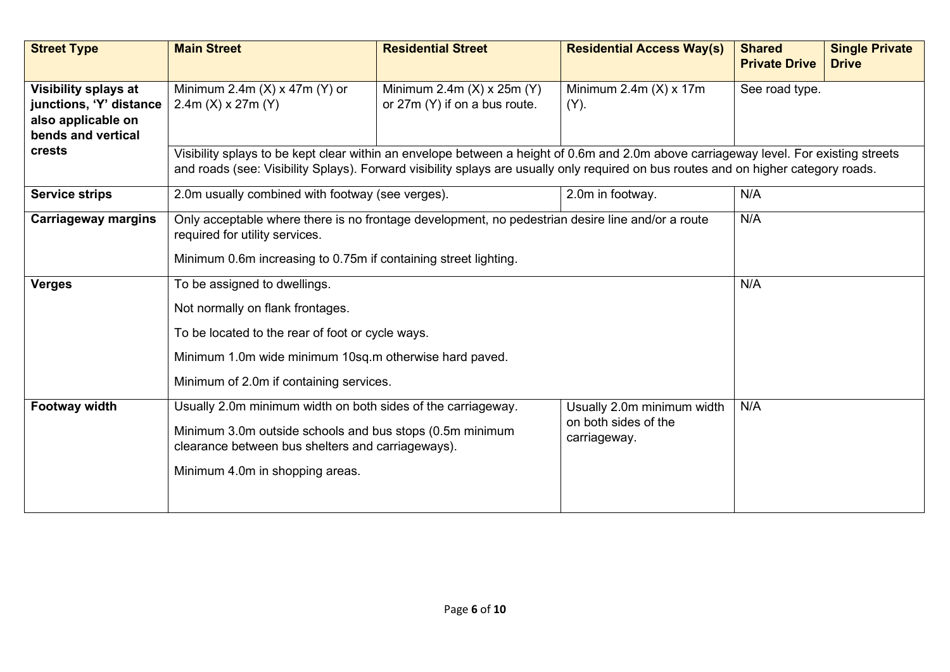| <b>Street Type</b>                                                                          | <b>Main Street</b>                                                                                                                                                                                                                                                           | <b>Residential Street</b> | <b>Residential Access Way(s)</b>                                   | <b>Shared</b><br><b>Private Drive</b> | <b>Single Private</b><br><b>Drive</b> |  |  |
|---------------------------------------------------------------------------------------------|------------------------------------------------------------------------------------------------------------------------------------------------------------------------------------------------------------------------------------------------------------------------------|---------------------------|--------------------------------------------------------------------|---------------------------------------|---------------------------------------|--|--|
| Visibility splays at<br>junctions, 'Y' distance<br>also applicable on<br>bends and vertical | Minimum 2.4m $(X)$ x 47m $(Y)$ or<br>$2.4m$ (X) x 27m (Y)                                                                                                                                                                                                                    | See road type.            |                                                                    |                                       |                                       |  |  |
| crests                                                                                      | Visibility splays to be kept clear within an envelope between a height of 0.6m and 2.0m above carriageway level. For existing streets<br>and roads (see: Visibility Splays). Forward visibility splays are usually only required on bus routes and on higher category roads. |                           |                                                                    |                                       |                                       |  |  |
| <b>Service strips</b>                                                                       | 2.0m usually combined with footway (see verges).                                                                                                                                                                                                                             | N/A                       |                                                                    |                                       |                                       |  |  |
| <b>Carriageway margins</b>                                                                  | N/A<br>Only acceptable where there is no frontage development, no pedestrian desire line and/or a route<br>required for utility services.<br>Minimum 0.6m increasing to 0.75m if containing street lighting.                                                                 |                           |                                                                    |                                       |                                       |  |  |
| <b>Verges</b>                                                                               | N/A<br>To be assigned to dwellings.<br>Not normally on flank frontages.<br>To be located to the rear of foot or cycle ways.<br>Minimum 1.0m wide minimum 10sq.m otherwise hard paved.<br>Minimum of 2.0m if containing services.                                             |                           |                                                                    |                                       |                                       |  |  |
| <b>Footway width</b>                                                                        | Usually 2.0m minimum width on both sides of the carriageway.<br>Minimum 3.0m outside schools and bus stops (0.5m minimum<br>clearance between bus shelters and carriageways).<br>Minimum 4.0m in shopping areas.                                                             |                           | Usually 2.0m minimum width<br>on both sides of the<br>carriageway. | N/A                                   |                                       |  |  |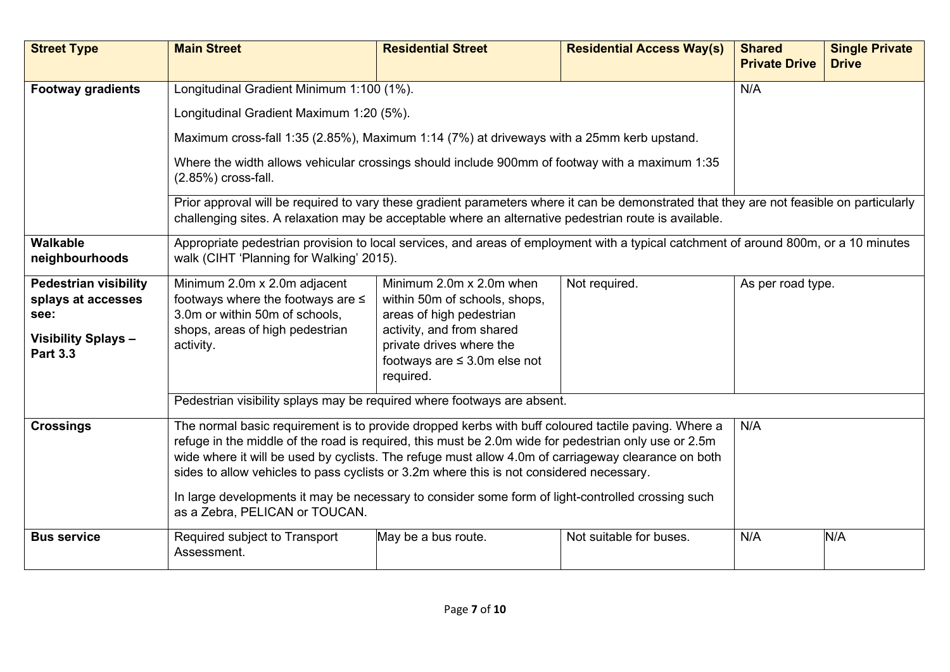| <b>Street Type</b>                                                                                         | <b>Main Street</b>                                                                                                                                                                                                                                                                                                                                                                                                                                                                                                                                           | <b>Residential Street</b>                                                                                                                                                                        | <b>Residential Access Way(s)</b> | <b>Shared</b><br><b>Private Drive</b> | <b>Single Private</b><br><b>Drive</b> |  |
|------------------------------------------------------------------------------------------------------------|--------------------------------------------------------------------------------------------------------------------------------------------------------------------------------------------------------------------------------------------------------------------------------------------------------------------------------------------------------------------------------------------------------------------------------------------------------------------------------------------------------------------------------------------------------------|--------------------------------------------------------------------------------------------------------------------------------------------------------------------------------------------------|----------------------------------|---------------------------------------|---------------------------------------|--|
| <b>Footway gradients</b>                                                                                   | Longitudinal Gradient Minimum 1:100 (1%).                                                                                                                                                                                                                                                                                                                                                                                                                                                                                                                    |                                                                                                                                                                                                  |                                  | N/A                                   |                                       |  |
|                                                                                                            | Longitudinal Gradient Maximum 1:20 (5%).                                                                                                                                                                                                                                                                                                                                                                                                                                                                                                                     |                                                                                                                                                                                                  |                                  |                                       |                                       |  |
|                                                                                                            | Maximum cross-fall 1:35 (2.85%), Maximum 1:14 (7%) at driveways with a 25mm kerb upstand.                                                                                                                                                                                                                                                                                                                                                                                                                                                                    |                                                                                                                                                                                                  |                                  |                                       |                                       |  |
|                                                                                                            | Where the width allows vehicular crossings should include 900mm of footway with a maximum 1:35<br>$(2.85\%)$ cross-fall.                                                                                                                                                                                                                                                                                                                                                                                                                                     |                                                                                                                                                                                                  |                                  |                                       |                                       |  |
|                                                                                                            | Prior approval will be required to vary these gradient parameters where it can be demonstrated that they are not feasible on particularly<br>challenging sites. A relaxation may be acceptable where an alternative pedestrian route is available.                                                                                                                                                                                                                                                                                                           |                                                                                                                                                                                                  |                                  |                                       |                                       |  |
| <b>Walkable</b><br>neighbourhoods                                                                          | Appropriate pedestrian provision to local services, and areas of employment with a typical catchment of around 800m, or a 10 minutes<br>walk (CIHT 'Planning for Walking' 2015).                                                                                                                                                                                                                                                                                                                                                                             |                                                                                                                                                                                                  |                                  |                                       |                                       |  |
| <b>Pedestrian visibility</b><br>splays at accesses<br>see:<br><b>Visibility Splays-</b><br><b>Part 3.3</b> | Minimum 2.0m x 2.0m adjacent<br>footways where the footways are $\leq$<br>3.0m or within 50m of schools,<br>shops, areas of high pedestrian<br>activity.                                                                                                                                                                                                                                                                                                                                                                                                     | Minimum 2.0m x 2.0m when<br>within 50m of schools, shops,<br>areas of high pedestrian<br>activity, and from shared<br>private drives where the<br>footways are $\leq$ 3.0m else not<br>required. | Not required.                    | As per road type.                     |                                       |  |
|                                                                                                            | Pedestrian visibility splays may be required where footways are absent.                                                                                                                                                                                                                                                                                                                                                                                                                                                                                      |                                                                                                                                                                                                  |                                  |                                       |                                       |  |
| <b>Crossings</b>                                                                                           | The normal basic requirement is to provide dropped kerbs with buff coloured tactile paving. Where a<br>N/A<br>refuge in the middle of the road is required, this must be 2.0m wide for pedestrian only use or 2.5m<br>wide where it will be used by cyclists. The refuge must allow 4.0m of carriageway clearance on both<br>sides to allow vehicles to pass cyclists or 3.2m where this is not considered necessary.<br>In large developments it may be necessary to consider some form of light-controlled crossing such<br>as a Zebra, PELICAN or TOUCAN. |                                                                                                                                                                                                  |                                  |                                       |                                       |  |
| <b>Bus service</b>                                                                                         | Required subject to Transport<br>Assessment.                                                                                                                                                                                                                                                                                                                                                                                                                                                                                                                 | May be a bus route.                                                                                                                                                                              | Not suitable for buses.          | N/A                                   | N/A                                   |  |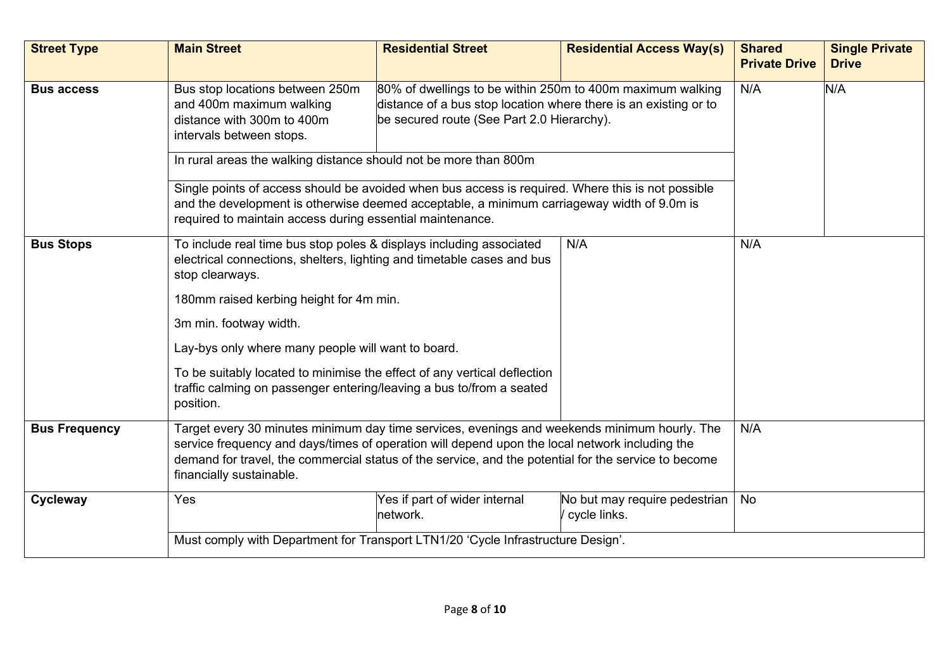| <b>Street Type</b>   | <b>Main Street</b>                                                                                                                                                                                                                                                                                                                                                                          | <b>Residential Street</b> | <b>Residential Access Way(s)</b> | <b>Shared</b><br><b>Private Drive</b> | <b>Single Private</b><br><b>Drive</b> |  |
|----------------------|---------------------------------------------------------------------------------------------------------------------------------------------------------------------------------------------------------------------------------------------------------------------------------------------------------------------------------------------------------------------------------------------|---------------------------|----------------------------------|---------------------------------------|---------------------------------------|--|
| <b>Bus access</b>    | 80% of dwellings to be within 250m to 400m maximum walking<br>Bus stop locations between 250m<br>distance of a bus stop location where there is an existing or to<br>and 400m maximum walking<br>be secured route (See Part 2.0 Hierarchy).<br>distance with 300m to 400m<br>intervals between stops.<br>In rural areas the walking distance should not be more than 800m                   | N/A                       | N/A                              |                                       |                                       |  |
|                      | Single points of access should be avoided when bus access is required. Where this is not possible<br>and the development is otherwise deemed acceptable, a minimum carriageway width of 9.0m is<br>required to maintain access during essential maintenance.                                                                                                                                |                           |                                  |                                       |                                       |  |
| <b>Bus Stops</b>     | N/A<br>To include real time bus stop poles & displays including associated<br>electrical connections, shelters, lighting and timetable cases and bus<br>stop clearways.<br>180mm raised kerbing height for 4m min.<br>3m min. footway width.<br>Lay-bys only where many people will want to board.<br>To be suitably located to minimise the effect of any vertical deflection              |                           |                                  |                                       |                                       |  |
| <b>Bus Frequency</b> | traffic calming on passenger entering/leaving a bus to/from a seated<br>position.<br>Target every 30 minutes minimum day time services, evenings and weekends minimum hourly. The<br>service frequency and days/times of operation will depend upon the local network including the<br>demand for travel, the commercial status of the service, and the potential for the service to become |                           |                                  |                                       |                                       |  |
| Cycleway             | financially sustainable.<br>Yes<br>Yes if part of wider internal<br>No but may require pedestrian<br>cycle links.<br>network.                                                                                                                                                                                                                                                               |                           |                                  |                                       |                                       |  |
|                      | Must comply with Department for Transport LTN1/20 'Cycle Infrastructure Design'.                                                                                                                                                                                                                                                                                                            |                           |                                  |                                       |                                       |  |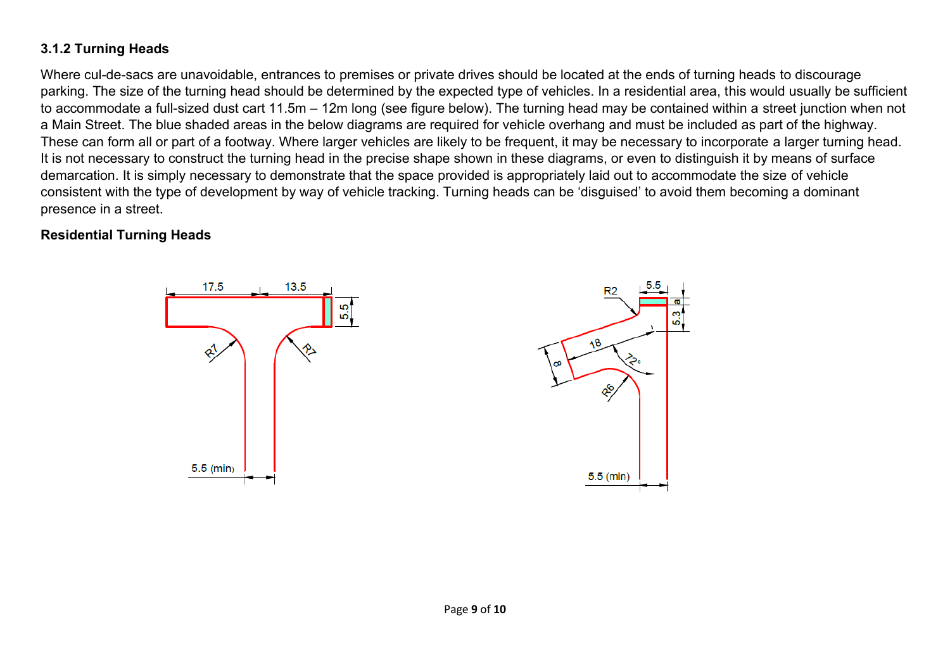## **3.1.2 Turning Heads**

Where cul-de-sacs are unavoidable, entrances to premises or private drives should be located at the ends of turning heads to discourage parking. The size of the turning head should be determined by the expected type of vehicles. In a residential area, this would usually be sufficient to accommodate a full-sized dust cart 11.5m – 12m long (see figure below). The turning head may be contained within a street junction when not a Main Street. The blue shaded areas in the below diagrams are required for vehicle overhang and must be included as part of the highway. These can form all or part of a footway. Where larger vehicles are likely to be frequent, it may be necessary to incorporate a larger turning head. It is not necessary to construct the turning head in the precise shape shown in these diagrams, or even to distinguish it by means of surface demarcation. It is simply necessary to demonstrate that the space provided is appropriately laid out to accommodate the size of vehicle consistent with the type of development by way of vehicle tracking. Turning heads can be 'disguised' to avoid them becoming a dominant presence in a street.

## **Residential Turning Heads**